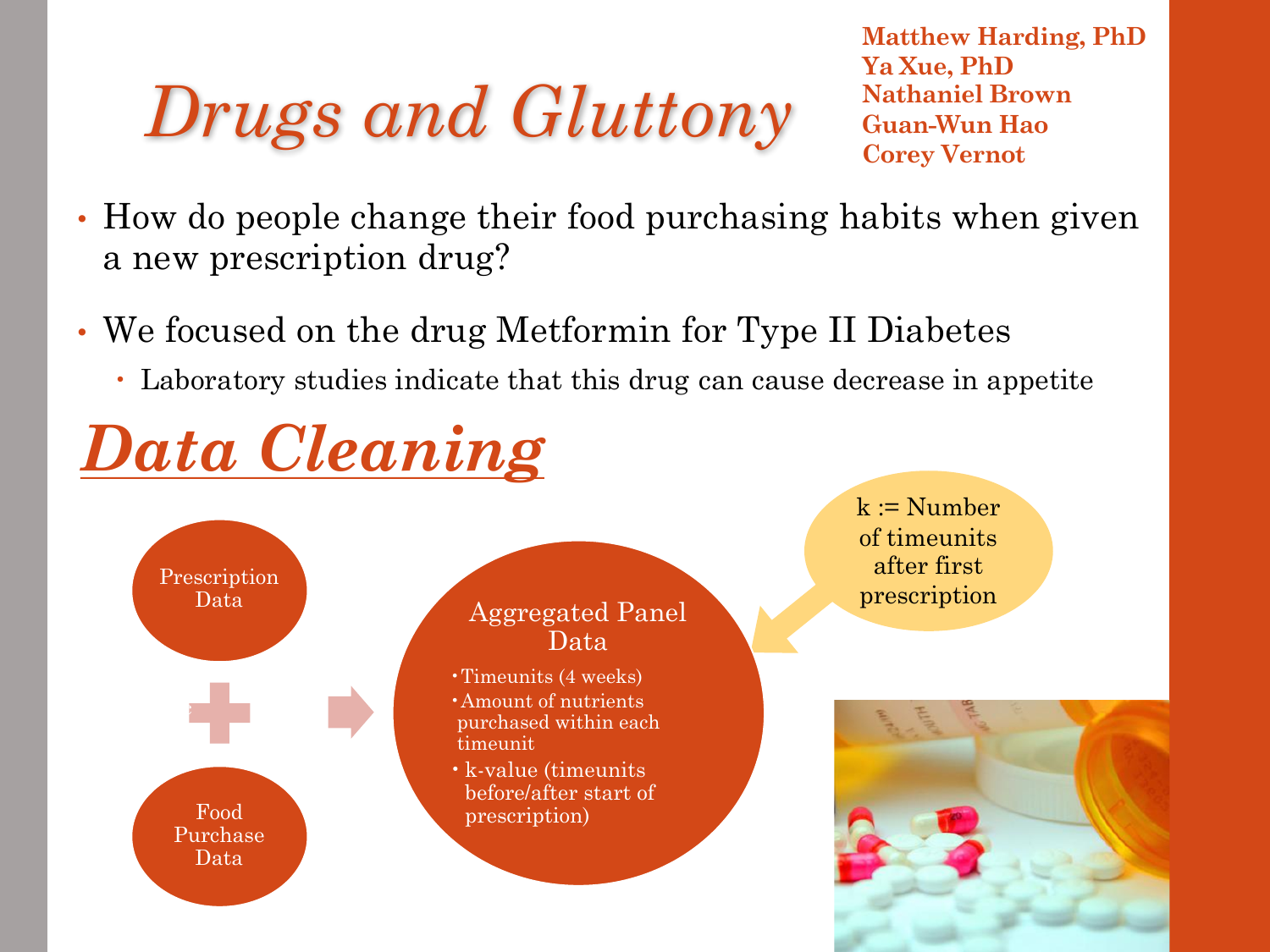# $Drugs$  and  $Gluttony$  **Condensational Brow** Corey Vernot

**Matthew Harding, PhD Ya Xue, PhD Nathaniel Brown**

- How do people change their food purchasing habits when given a new prescription drug?
- We focused on the drug Metformin for Type II Diabetes
	- Laboratory studies indicate that this drug can cause decrease in appetite

## *Data Cleaning*

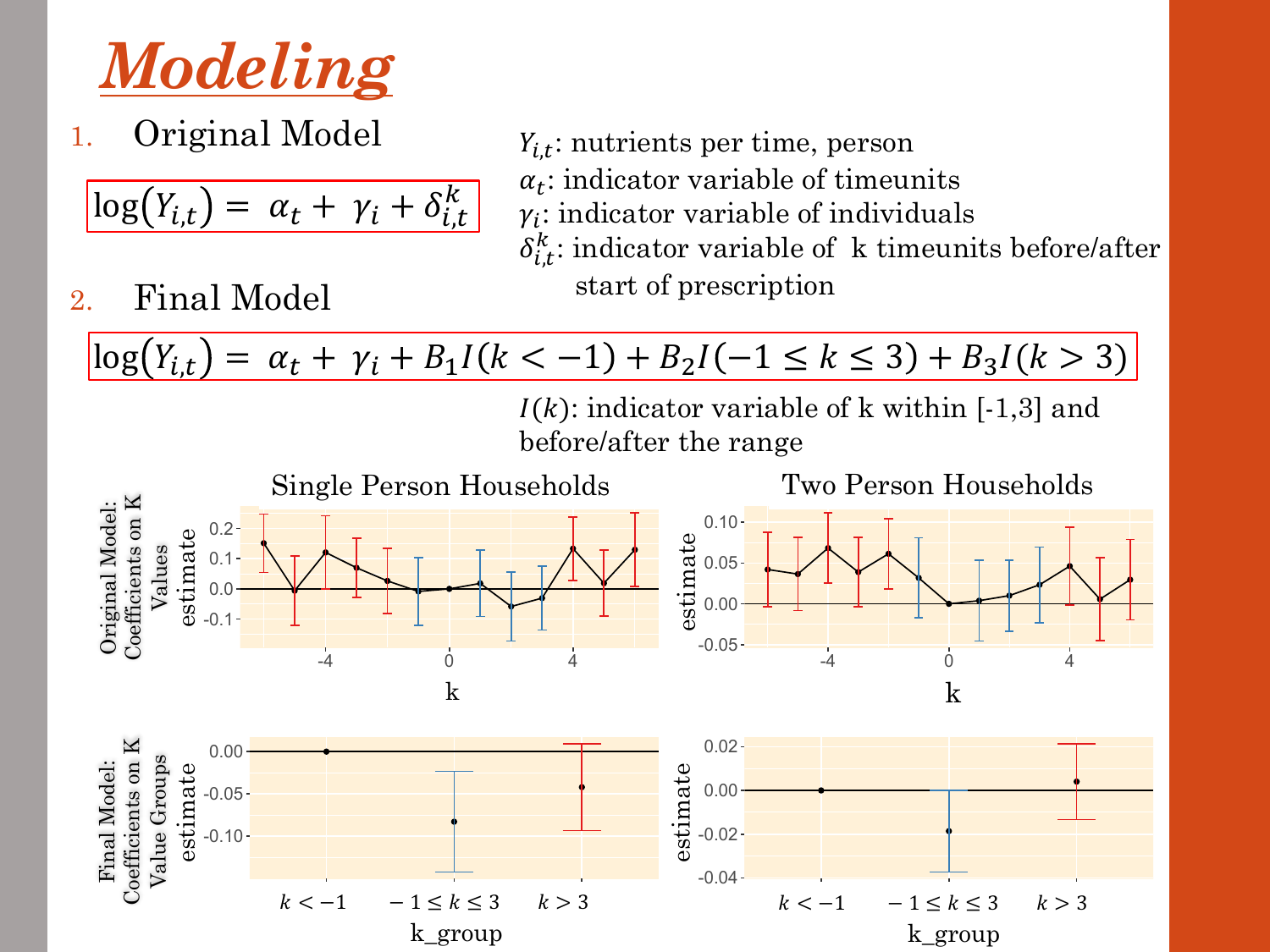

1. Original Model

2. Final Model

$$
\log(Y_{i,t}) = \alpha_t + \gamma_i + \delta_{i,t}^k
$$

- $Y_{i,t}$ : nutrients per time, person  $\alpha_t$ : indicator variable of timeunits  $\gamma_i$ : indicator variable of individuals  $\delta_{i,t}^k$ : indicator variable of k timeunits before/after start of prescription
- $\log(Y_{i,t}) = \alpha_t + \gamma_i + B_1 I(k < -1) + B_2 I(-1 \le k \le 3) + B_3 I(k > 3)$

 $I(k)$ : indicator variable of k within [-1,3] and before/after the range